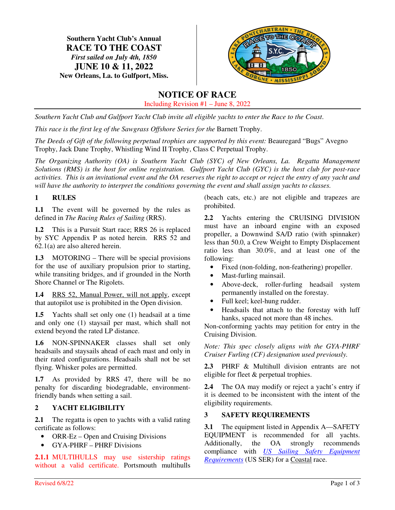**Southern Yacht Club's Annual RACE TO THE COAST**  *First sailed on July 4th, 1850*  **JUNE 10 & 11, 2022 New Orleans, La. to Gulfport, Miss.**



# **NOTICE OF RACE**

Including Revision #1 – June 8, 2022

*Southern Yacht Club and Gulfport Yacht Club invite all eligible yachts to enter the Race to the Coast*.

*This race is the first leg of the Sawgrass Offshore Series for the Barnett Trophy.* 

The Deeds of Gift of the following perpetual trophies are supported by this event: Beauregard "Bugs" Avegno Trophy, Jack Dane Trophy, Whistling Wind II Trophy, Class C Perpetual Trophy.

*The Organizing Authority (OA) is Southern Yacht Club (SYC) of New Orleans, La. Regatta Management Solutions (RMS) is the host for online registration. Gulfport Yacht Club (GYC) is the host club for post-race activities. This is an invitational event and the OA reserves the right to accept or reject the entry of any yacht and will have the authority to interpret the conditions governing the event and shall assign yachts to classes.* 

# **1 RULES**

**1.1** The event will be governed by the rules as defined in *The Racing Rules of Sailing* (RRS).

**1.2** This is a Pursuit Start race; RRS 26 is replaced by SYC Appendix P as noted herein. RRS 52 and 62.1(a) are also altered herein.

**1.3** MOTORING – There will be special provisions for the use of auxiliary propulsion prior to starting, while transiting bridges, and if grounded in the North Shore Channel or The Rigolets.

**1.4** RRS 52, Manual Power, will not apply, except that autopilot use is prohibited in the Open division.

**1.5** Yachts shall set only one (1) headsail at a time and only one (1) staysail per mast, which shall not extend beyond the rated LP distance.

**1.6** NON-SPINNAKER classes shall set only headsails and staysails ahead of each mast and only in their rated configurations. Headsails shall not be set flying. Whisker poles are permitted.

**1.7** As provided by RRS 47, there will be no penalty for discarding biodegradable, environmentfriendly bands when setting a sail.

## **2 YACHT ELIGIBILITY**

**2.1** The regatta is open to yachts with a valid rating certificate as follows:

- ORR-Ez Open and Cruising Divisions
- GYA-PHRF PHRF Divisions

**2.1.1** MULTIHULLS may use sistership ratings without a valid certificate. Portsmouth multihulls (beach cats, etc.) are not eligible and trapezes are prohibited.

**2.2** Yachts entering the CRUISING DIVISION must have an inboard engine with an exposed propeller, a Downwind SA/D ratio (with spinnaker) less than 50.0, a Crew Weight to Empty Displacement ratio less than 30.0%, and at least one of the following:

- Fixed (non-folding, non-feathering) propeller.
- Mast-furling mainsail.
- Above-deck, roller-furling headsail system permanently installed on the forestay.
- Full keel; keel-hung rudder.
- Headsails that attach to the forestay with luff hanks, spaced not more than 48 inches.

Non-conforming yachts may petition for entry in the Cruising Division.

*Note: This spec closely aligns with the GYA-PHRF Cruiser Furling (CF) designation used previously.* 

**2.3** PHRF & Multihull division entrants are not eligible for fleet & perpetual trophies.

**2.4** The OA may modify or reject a yacht's entry if it is deemed to be inconsistent with the intent of the eligibility requirements.

## **3 SAFETY REQUIREMENTS**

**3.1** The equipment listed in Appendix A—SAFETY EQUIPMENT is recommended for all yachts. Additionally, the OA strongly recommends compliance with *US Sailing Safety Equipment Requirements* (US SER) for a Coastal race.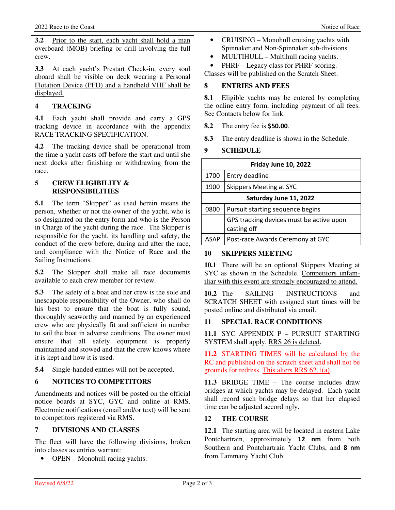**3.2** Prior to the start, each yacht shall hold a man overboard (MOB) briefing or drill involving the full crew.

**3.3** At each yacht's Prestart Check-in, every soul aboard shall be visible on deck wearing a Personal Flotation Device (PFD) and a handheld VHF shall be displayed.

# **4 TRACKING**

**4.1** Each yacht shall provide and carry a GPS tracking device in accordance with the appendix RACE TRACKING SPECIFICATION.

**4.2** The tracking device shall be operational from the time a yacht casts off before the start and until she next docks after finishing or withdrawing from the race.

### **5 CREW ELIGIBILITY & RESPONSIBILITIES**

**5.1** The term "Skipper" as used herein means the person, whether or not the owner of the yacht, who is so designated on the entry form and who is the Person in Charge of the yacht during the race. The Skipper is responsible for the yacht, its handling and safety, the conduct of the crew before, during and after the race, and compliance with the Notice of Race and the Sailing Instructions.

**5.2** The Skipper shall make all race documents available to each crew member for review.

**5.3** The safety of a boat and her crew is the sole and inescapable responsibility of the Owner, who shall do his best to ensure that the boat is fully sound, thoroughly seaworthy and manned by an experienced crew who are physically fit and sufficient in number to sail the boat in adverse conditions. The owner must ensure that all safety equipment is properly maintained and stowed and that the crew knows where it is kept and how it is used.

**5.4** Single-handed entries will not be accepted.

## **6 NOTICES TO COMPETITORS**

Amendments and notices will be posted on the official notice boards at SYC, GYC and online at RMS. Electronic notifications (email and/or text) will be sent to competitors registered via RMS.

## **7 DIVISIONS AND CLASSES**

The fleet will have the following divisions, broken into classes as entries warrant:

• OPEN – Monohull racing yachts.

- CRUISING Monohull cruising yachts with Spinnaker and Non-Spinnaker sub-divisions.
- MULTIHULL Multihull racing yachts.
- PHRF Legacy class for PHRF scoring.

Classes will be published on the Scratch Sheet.

### **8 ENTRIES AND FEES**

8.1 Eligible yachts may be entered by completing the online entry form, including payment of all fees. See Contacts below for link.

- **8.2** The entry fee is **\$50.00**.
- **8.3** The entry deadline is shown in the Schedule.

## **9 SCHEDULE**

| Friday June 10, 2022   |                                                         |  |
|------------------------|---------------------------------------------------------|--|
| 1700                   | Entry deadline                                          |  |
| 1900                   | Skippers Meeting at SYC                                 |  |
| Saturday June 11, 2022 |                                                         |  |
| 0800                   | Pursuit starting sequence begins                        |  |
|                        | GPS tracking devices must be active upon<br>casting off |  |
| ASAP                   | Post-race Awards Ceremony at GYC                        |  |

### **10 SKIPPERS MEETING**

**10.1** There will be an optional Skippers Meeting at SYC as shown in the Schedule. Competitors unfamiliar with this event are strongly encouraged to attend.

**10.2** The SAILING INSTRUCTIONS and SCRATCH SHEET with assigned start times will be posted online and distributed via email.

## **11 SPECIAL RACE CONDITIONS**

**11.1** SYC APPENDIX P – PURSUIT STARTING SYSTEM shall apply. RRS 26 is deleted.

**11.2** STARTING TIMES will be calculated by the RC and published on the scratch sheet and shall not be grounds for redress. This alters RRS 62.1(a).

**11.3** BRIDGE TIME – The course includes draw bridges at which yachts may be delayed. Each yacht shall record such bridge delays so that her elapsed time can be adjusted accordingly.

### **12 THE COURSE**

**12.1** The starting area will be located in eastern Lake Pontchartrain, approximately **12 nm** from both Southern and Pontchartrain Yacht Clubs, and **8 nm** from Tammany Yacht Club.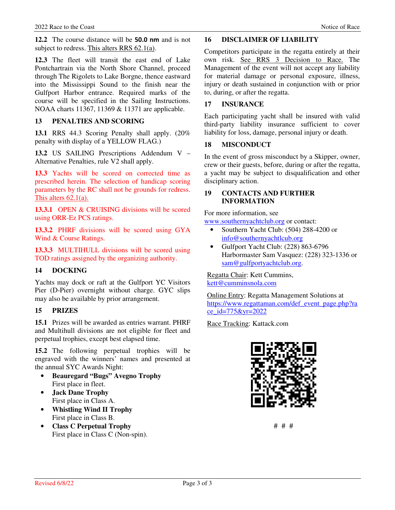**12.2** The course distance will be **50.0 nm** and is not subject to redress. This alters RRS 62.1(a).

**12.3** The fleet will transit the east end of Lake Pontchartrain via the North Shore Channel, proceed through The Rigolets to Lake Borgne, thence eastward into the Mississippi Sound to the finish near the Gulfport Harbor entrance. Required marks of the course will be specified in the Sailing Instructions. NOAA charts 11367, 11369 & 11371 are applicable.

### **13 PENALTIES AND SCORING**

**13.1** RRS 44.3 Scoring Penalty shall apply. (20% penalty with display of a YELLOW FLAG.)

**13.2** US SAILING Prescriptions Addendum V – Alternative Penalties, rule V2 shall apply.

**13.3** Yachts will be scored on corrected time as prescribed herein. The selection of handicap scoring parameters by the RC shall not be grounds for redress. This alters 62.1(a).

13.3.1 OPEN & CRUISING divisions will be scored using ORR-Ez PCS ratings.

**13.3.2** PHRF divisions will be scored using GYA Wind & Course Ratings.

**13.3.3** MULTIHULL divisions will be scored using TOD ratings assigned by the organizing authority.

### **14 DOCKING**

Yachts may dock or raft at the Gulfport YC Visitors Pier (D-Pier) overnight without charge. GYC slips may also be available by prior arrangement.

### **15 PRIZES**

**15.1** Prizes will be awarded as entries warrant. PHRF and Multihull divisions are not eligible for fleet and perpetual trophies, except best elapsed time.

**15.2** The following perpetual trophies will be engraved with the winners' names and presented at the annual SYC Awards Night:

- **Beauregard "Bugs" Avegno Trophy** First place in fleet.
- **Jack Dane Trophy**  First place in Class A.
- **Whistling Wind II Trophy** First place in Class B.
- **Class C Perpetual Trophy**  First place in Class C (Non-spin).

### **16 DISCLAIMER OF LIABILITY**

Competitors participate in the regatta entirely at their own risk. See RRS 3 Decision to Race. The Management of the event will not accept any liability for material damage or personal exposure, illness, injury or death sustained in conjunction with or prior to, during, or after the regatta.

### **17 INSURANCE**

Each participating yacht shall be insured with valid third-party liability insurance sufficient to cover liability for loss, damage, personal injury or death.

### **18 MISCONDUCT**

In the event of gross misconduct by a Skipper, owner, crew or their guests, before, during or after the regatta, a yacht may be subject to disqualification and other disciplinary action.

### **19 CONTACTS AND FURTHER INFORMATION**

For more information, see

www.southernyachtclub.org or contact:

- Southern Yacht Club: (504) 288-4200 or info@southernyachtlcub.org
- Gulfport Yacht Club: (228) 863-6796 Harbormaster Sam Vasquez: (228) 323-1336 or sam@gulfportyachtclub.org.

Regatta Chair: Kett Cummins, kett@cumminsnola.com

Online Entry: Regatta Management Solutions at https://www.regattaman.com/def\_event\_page.php?ra ce\_id=775&yr=2022

Race Tracking: Kattack.com



# # #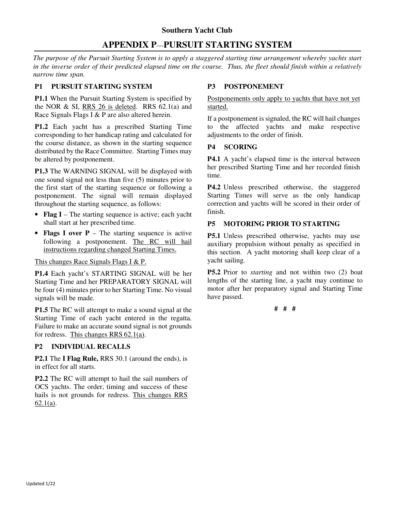# **Southern Yacht Club APPENDIX P**—**PURSUIT STARTING SYSTEM**

*The purpose of the Pursuit Starting System is to apply a staggered starting time arrangement whereby yachts start in the inverse order of their predicted elapsed time on the course. Thus, the fleet should finish within a relatively narrow time span.*

## **P1 PURSUIT STARTING SYSTEM**

**P1.1** When the Pursuit Starting System is specified by the NOR  $&$  SI, RRS 26 is deleted. RRS  $62.1(a)$  and Race Signals Flags I & P are also altered herein.

**P1.2** Each yacht has a prescribed Starting Time corresponding to her handicap rating and calculated for the course distance, as shown in the starting sequence distributed by the Race Committee. Starting Times may be altered by postponement.

**P1.3** The WARNING SIGNAL will be displayed with one sound signal not less than five (5) minutes prior to the first start of the starting sequence or following a postponement. The signal will remain displayed throughout the starting sequence, as follows:

- **Flag I** The starting sequence is active; each yacht shall start at her prescribed time.
- **Flags I over P**  The starting sequence is active following a postponement. The RC will hail instructions regarding changed Starting Times.

## This changes Race Signals Flags I & P.

**P1.4** Each yacht's STARTING SIGNAL will be her Starting Time and her PREPARATORY SIGNAL will be four (4) minutes prior to her Starting Time. No visual signals will be made.

**P1.5** The RC will attempt to make a sound signal at the Starting Time of each yacht entered in the regatta. Failure to make an accurate sound signal is not grounds for redress. This changes RRS 62.1(a).

## **P2 INDIVIDUAL RECALLS**

**P2.1** The **I Flag Rule,** RRS 30.1 (around the ends), is in effect for all starts.

**P2.2** The RC will attempt to hail the sail numbers of OCS yachts. The order, timing and success of these hails is not grounds for redress. This changes RRS 62.1(a).

# **P3 POSTPONEMENT**

Postponements only apply to yachts that have not yet started.

If a postponement is signaled, the RC will hail changes to the affected yachts and make respective adjustments to the order of finish.

## **P4 SCORING**

**P4.1** A yacht's elapsed time is the interval between her prescribed Starting Time and her recorded finish time.

**P4.2** Unless prescribed otherwise, the staggered Starting Times will serve as the only handicap correction and yachts will be scored in their order of finish.

# **P5 MOTORING PRIOR TO STARTING**

**P5.1** Unless prescribed otherwise, yachts may use auxiliary propulsion without penalty as specified in this section. A yacht motoring shall keep clear of a yacht sailing.

**P5.2** Prior to *starting* and not within two (2) boat lengths of the starting line, a yacht may continue to motor after her preparatory signal and Starting Time have passed.

**# # #**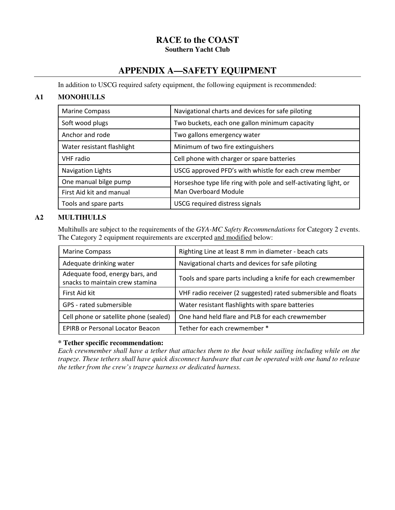# **RACE to the COAST Southern Yacht Club**

# **APPENDIX A—SAFETY EQUIPMENT**

In addition to USCG required safety equipment, the following equipment is recommended:

# **A1 MONOHULLS**

| <b>Marine Compass</b>      | Navigational charts and devices for safe piloting                                        |
|----------------------------|------------------------------------------------------------------------------------------|
| Soft wood plugs            | Two buckets, each one gallon minimum capacity                                            |
| Anchor and rode            | Two gallons emergency water                                                              |
| Water resistant flashlight | Minimum of two fire extinguishers                                                        |
| <b>VHF</b> radio           | Cell phone with charger or spare batteries                                               |
| <b>Navigation Lights</b>   | USCG approved PFD's with whistle for each crew member                                    |
| One manual bilge pump      | Horseshoe type life ring with pole and self-activating light, or<br>Man Overboard Module |
| First Aid kit and manual   |                                                                                          |
| Tools and spare parts      | <b>USCG</b> required distress signals                                                    |

## **A2 MULTIHULLS**

 Multihulls are subject to the requirements of the *GYA-MC Safety Recommendations* for Category 2 events. The Category 2 equipment requirements are excerpted and modified below:

| <b>Marine Compass</b>                                              | Righting Line at least 8 mm in diameter - beach cats          |
|--------------------------------------------------------------------|---------------------------------------------------------------|
| Adequate drinking water                                            | Navigational charts and devices for safe piloting             |
| Adequate food, energy bars, and<br>snacks to maintain crew stamina | Tools and spare parts including a knife for each crewmember   |
| First Aid kit                                                      | VHF radio receiver (2 suggested) rated submersible and floats |
| GPS - rated submersible                                            | Water resistant flashlights with spare batteries              |
| Cell phone or satellite phone (sealed)                             | One hand held flare and PLB for each crewmember               |
| <b>EPIRB or Personal Locator Beacon</b>                            | Tether for each crewmember *                                  |

## **\* Tether specific recommendation:**

*Each crewmember shall have a tether that attaches them to the boat while sailing including while on the trapeze. These tethers shall have quick disconnect hardware that can be operated with one hand to release the tether from the crew's trapeze harness or dedicated harness.*